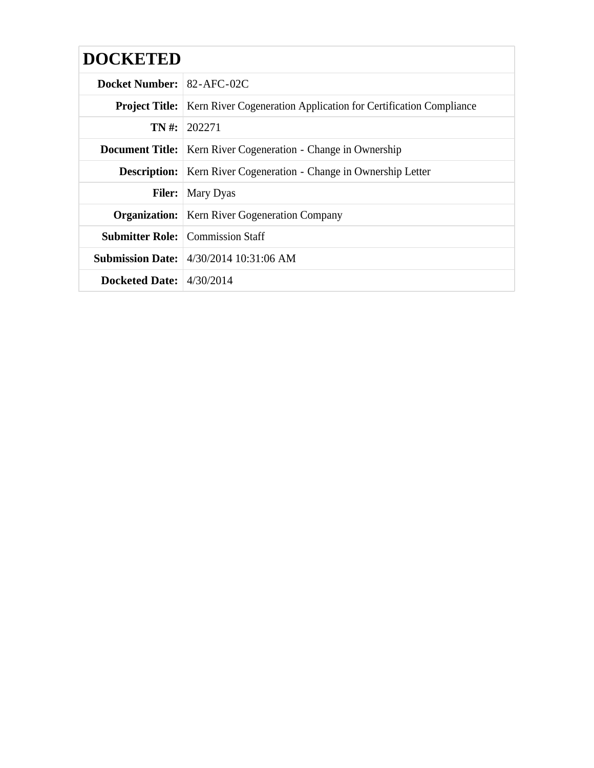| <b>DOCKETED</b>                  |                                                                                          |  |
|----------------------------------|------------------------------------------------------------------------------------------|--|
| <b>Docket Number: 82-AFC-02C</b> |                                                                                          |  |
|                                  | <b>Project Title:</b>   Kern River Cogeneration Application for Certification Compliance |  |
|                                  | $TN \#: 202271$                                                                          |  |
|                                  | <b>Document Title:</b>   Kern River Cogeneration - Change in Ownership                   |  |
|                                  | <b>Description:</b>   Kern River Cogeneration - Change in Ownership Letter               |  |
|                                  | <b>Filer:</b> Mary Dyas                                                                  |  |
|                                  | <b>Organization:</b>   Kern River Gogeneration Company                                   |  |
|                                  | <b>Submitter Role:</b> Commission Staff                                                  |  |
|                                  | <b>Submission Date:</b> 4/30/2014 10:31:06 AM                                            |  |
| Docketed Date: $4/30/2014$       |                                                                                          |  |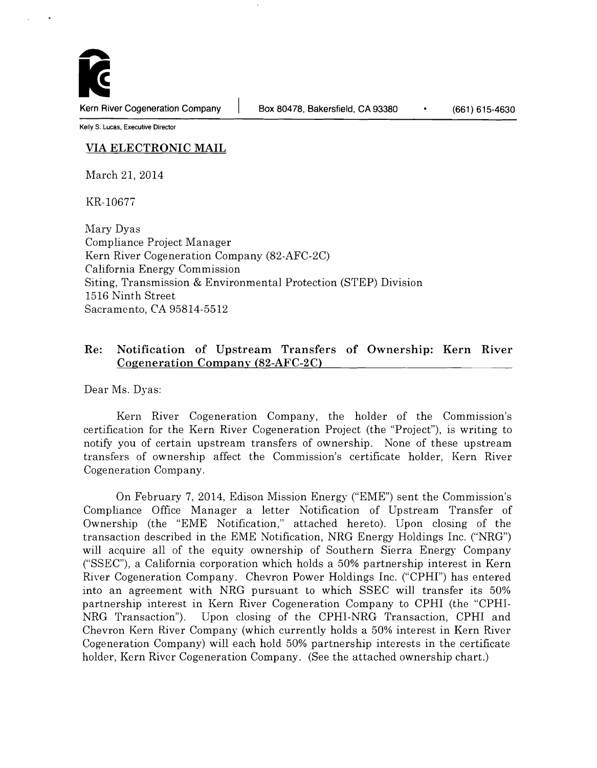Kern River Cogeneration Company | Box 80478, Bakersfield, CA 93380 (661) 615-4630

Kelly S. Lucas, Executive Director

## VIA ELECTRONIC MAIL

March 21, 2014

KR-10677

Mary Dyas Compliance Project Manager Kern River Cogeneration Company (82-AFC-2C) California Energy Commission Siting, Transmission & Environmental Protection (STEP) Division 1516 Ninth Street Sacramento, CA 95814-5512

# Re: Notification of Upstream Transfers of Ownership: Kern River Cogeneration Company (82-AFC-2C)

Dear Ms. Dyas:

Kern River Cogeneration Company, the holder of the Commission's certification for the Kern River Cogeneration Project (the "Project"), is writing to notify you of certain upstream transfers of ownership. None of these upstream transfers of ownership affect the Commission's certificate holder, Kern River Cogeneration Company.

On February 7, 2014, Edison Mission Energy ("EME") sent the Commission's Compliance Office Manager a letter Notification of Upstream Transfer of Ownership (the "EME Notification," attached hereto). Upon closing of the transaction described in the EME Notification, NRG Energy Holdings Inc. ("NRG") will acquire all of the equity ownership of Southern Sierra Energy Company ("SSEC"), a California corporation which holds a 50% partnership interest in Kern River Cogeneration Company. Chevron Power Holdings Inc. ("CPHI") has entered into an agreement with NRG pursuant to which SSEC will transfer its 50% partnership interest in Kern River Cogeneration Company to CPHI (the "CPHI-NRG Transaction"). Upon closing of the CPHI-NRG Transaction, CPHI and Chevron Kern River Company (which currently holds a 50% interest in Kern River Cogeneration Company) will each hold 50% partnership interests in the certificate holder, Kern River Cogeneration Company. (See the attached ownership chart.)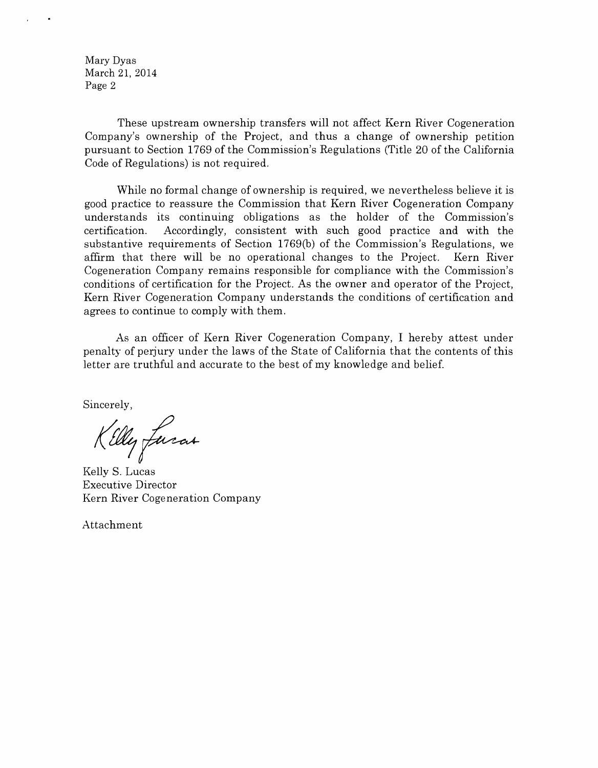Mary Dyas March 21, 2014 Page 2

These upstream ownership transfers will not affect Kern River Cogeneration Company's ownership of the Project, and thus a change of ownership petition pursuant to Section 1769 of the Commission's Regulations (Title 20 of the California Code of Regulations) is not required.

While no formal change of ownership is required, we nevertheless believe it is good practice to reassure the Commission that Kern River Cogeneration Company understands its continuing obligations as the holder of the Commission's certification. Accordingly, consistent with such good practice and with the substantive requirements of Section 1769(b) of the Commission's Regulations, we affirm that there will be no operational changes to the Project. Kern River Cogeneration Company remains responsible for compliance with the Commission's conditions of certification for the Project. As the owner and operator of the Project, Kern River Cogeneration Company understands the conditions of certification and agrees to continue to comply with them.

As an officer of Kern River Cogeneration Company, I hereby attest under penalty of perjury under the laws of the State of California that the contents of this letter are truthful and accurate to the best of my knowledge and belief.

Sincerely,

Killy fusas

Kelly S. Lucas Executive Director Kern River Cogeneration Company

Attachment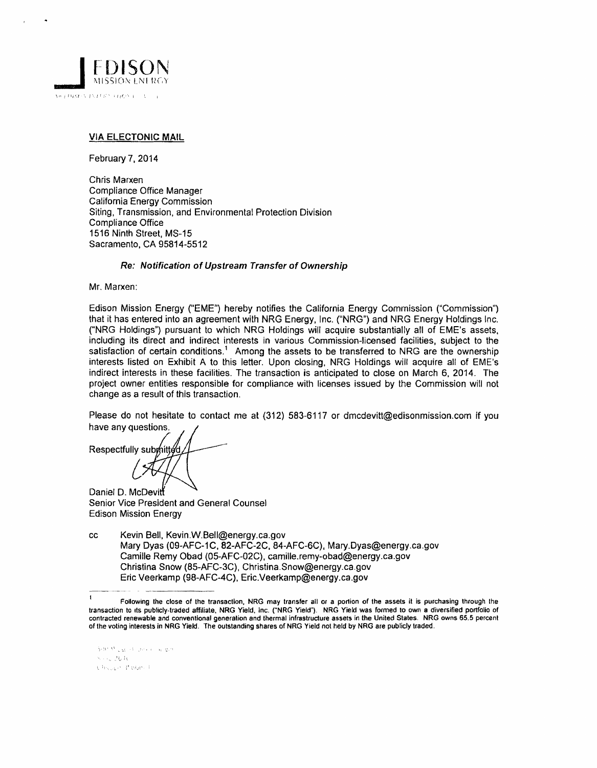

### VIA ELECTONIC MAIL

February 7.2014

Chris Marxen Compliance Office Manager California Energy Commission Siting, Transmission, and Environmental Protection Division Compliance Office 1516 Ninth Street, MS-15 Sacramento, CA 95814-5512

#### Re: Notification of Upstream Transfer of Ownership

Mr. Marxen:

Edison Mission Energy ("EME") hereby notifies the California Energy Commission ("Commission") that it has entered into an agreement with NRG Energy, Inc. ("NRG") and NRG Energy Holdings Inc. ("NRG Holdings") pursuant to which NRG Holdings will acquire substantially all of EME's assets. including its direct and indirect interests in various Commission-licensed facilities, subject to the satisfaction of certain conditions.<sup>1</sup> Among the assets to be transferred to NRG are the ownership interests listed on Exhibit A to this letter. Upon closing, NRG Holdings will acquire all of EME's indirect interests in these facilities. The transaction is anticipated to close on March 6, 2014. The project owner entities responsible for compliance with licenses issued by the Commission will not change as a result of this transaction.

Please do not hesitate to contact me at (312) 583-6117 or dmcdevitt@edisonmission.com if you have any questions.

Respectfully sub {

Daniel D. McDevi Senior Vice President and General Counsel Edison Mission Energy

cc Kevin 8ell, Kevin.W.Bell@energy.ca.gov Mary Dyas (09-AFC-1C, 82-AFC-2C, 84-AFC-6C), Mary.Dyas@energy.ca.gov Camille Remy Obad (05-AFC-02C), camille.remy-obad@energy.ca.gov Christina Snow (85-AFC-3C), Christina.Snow@energy.ca.gov Eric Veerkamp (98-AFC-4C), Eric.Veerkamp@energy.ca.gov

Satur Milligan of Concert and domi  $\sim 100\,{\rm K}$ Church Popel

 $\mathbf{I}$ Following the close of the transaction, NRG may transfer all or a portion of the assets it is purchasing through the transaction to its publicly-traded affiliate. NRG Yield, Inc. ("NRG Yield"). NRG Yield was formed to own a diversified portfolio of contracted renewable and conventional generation and thermal infrastructure assets in the United States. NRG owns 65.5 percent of the voting interests in NRG Yield. The outstanding shares of NRG Yield not held by NRG are publicly traded.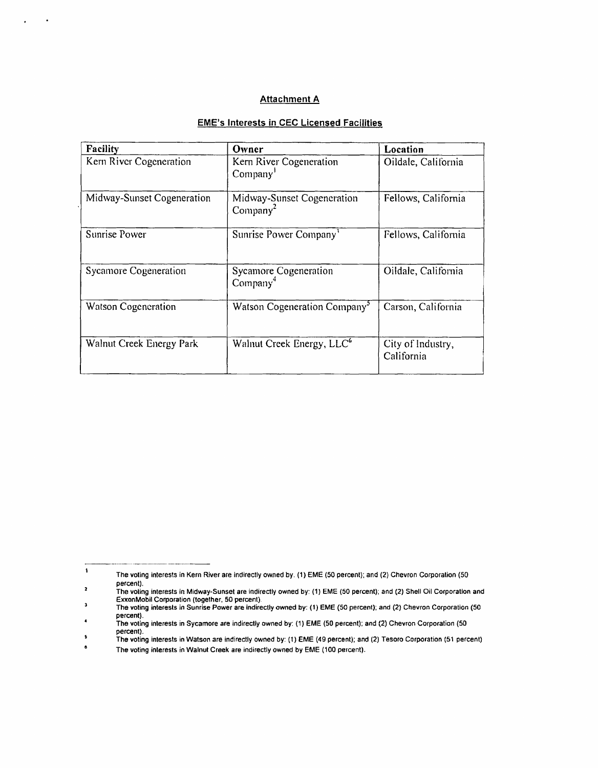### **Attachment A**

 $\mathbf{r}$ 

 $\cdot$ 

## EME's Interests in CEC Licensed Facilities

| Facility                   | Owner                                              | Location                        |
|----------------------------|----------------------------------------------------|---------------------------------|
| Kern River Cogeneration    | Kern River Cogeneration<br>Company <sup>1</sup>    | Oildale, California             |
| Midway-Sunset Cogeneration | Midway-Sunset Cogeneration<br>Company <sup>2</sup> | Fellows, California             |
| Sunrise Power              | Sunrise Power Company <sup>3</sup>                 | Fellows, California             |
| Sycamore Cogeneration      | Sycamore Cogeneration<br>Company <sup>4</sup>      | Oildale, California             |
| Watson Cogeneration        | Watson Cogeneration Company <sup>3</sup>           | Carson, California              |
| Walnut Creek Energy Park   | Walnut Creek Energy, LLC <sup>6</sup>              | City of Industry,<br>California |

 $\ddot{\phantom{1}}$ The voting interests in Kern River are indirectly owned by. (1) EME (50 percent); and (2) Chevron Corporation (50 percent).

 $\overline{\mathbf{z}}$ The voting interests in Midway-Sunset are indirectly owned by: (1) EME (50 percent); and (2) Shell Oil Corporation and ExxonMobil Corporation (together. 50 percent). ExxonMobil Corporation (together, 50 percent).<br>The voting interests in Sunrise Power are indirectly owned by: (1) EME (50 percent); and (2) Chevron Corporation (50 þ

percent).

The voting interests in Sycamore are indirectly owned by: (1) EME (50 percent); and (2) Chevron Corporation (50 percent). The voting interests in Watson are indirectly owned by: (1) EME (49 percent); and (2) Tesoro Corporation (51 percent).<br>The voting interests in Watson are indirectly owned by: (1) EME (49 percent); and (2) Tesoro Corporatio

 $\overline{\phantom{a}}$ 

 $\bullet$ The voting interests in Walnut Creek are indirectly owned by EME (100 percent).